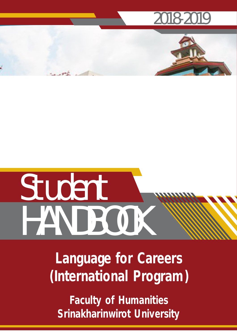# **2018-2019**

# **Student HANDBOOK**

**Language for Careers (International Program)**

**Faculty of Humanities Srinakharinwirot University**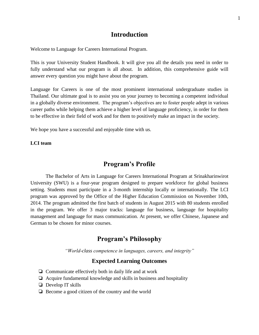# **Introduction**

Welcome to Language for Careers International Program.

This is your University Student Handbook. It will give you all the details you need in order to fully understand what our program is all about. In addition, this comprehensive guide will answer every question you might have about the program.

Language for Careers is one of the most prominent international undergraduate studies in Thailand. Our ultimate goal is to assist you on your journey to becoming a competent individual in a globally diverse environment. The program's objectives are to foster people adept in various career paths while helping them achieve a higher level of language proficiency, in order for them to be effective in their field of work and for them to positively make an impact in the society.

We hope you have a successful and enjoyable time with us.

**LCI team**

# **Program's Profile**

The Bachelor of Arts in Language for Careers International Program at Srinakharinwirot University (SWU) is a four-year program designed to prepare workforce for global business setting. Students must participate in a 3-month internship locally or internationally. The LCI program was approved by the Office of the Higher Education Commission on November 10th, 2014. The program admitted the first batch of students in August 2015 with 80 students enrolled in the program. We offer 3 major tracks: language for business, language for hospitality management and language for mass communication. At present, we offer Chinese, Japanese and German to be chosen for minor courses.

# **Program's Philosophy**

*"World-class competence in languages, careers, and integrity"*

# **Expected Learning Outcomes**

- ❏ Communicate effectively both in daily life and at work
- ❏ Acquire fundamental knowledge and skills in business and hospitality
- ❏ Develop IT skills
- ❏ Become a good citizen of the country and the world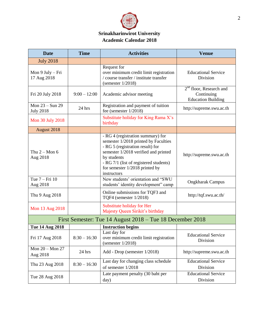

# **Srinakharinwirot University Academic Calendar 2018**

| <b>Date</b>                           | <b>Time</b>    | <b>Activities</b>                                                                                                                                                                                                                                               | <b>Venue</b>                                                                   |
|---------------------------------------|----------------|-----------------------------------------------------------------------------------------------------------------------------------------------------------------------------------------------------------------------------------------------------------------|--------------------------------------------------------------------------------|
| <b>July 2018</b>                      |                |                                                                                                                                                                                                                                                                 |                                                                                |
| Mon 9 July - Fri<br>17 Aug 2018       |                | Request for<br>over minimum credit limit registration<br>/ course transfer / institute transfer<br>(semester $1/2018$ )                                                                                                                                         | <b>Educational Service</b><br>Division                                         |
| Fri 20 July 2018                      | $9:00 - 12:00$ | Academic advisor meeting                                                                                                                                                                                                                                        | 2 <sup>nd</sup> floor, Research and<br>Continuing<br><b>Education Building</b> |
| Mon $23 - Sun$ 29<br><b>July 2018</b> | 24 hrs         | Registration and payment of tuition<br>fee (semester $1/2018$ )                                                                                                                                                                                                 | http://supreme.swu.ac.th                                                       |
| Mon 30 July 2018                      |                | Substitute holiday for King Rama X's<br>birthday                                                                                                                                                                                                                |                                                                                |
| August 2018                           |                |                                                                                                                                                                                                                                                                 |                                                                                |
| Thu $2 -$ Mon 6<br>Aug 2018           |                | - RG 4 (registration summary) for<br>semester 1/2018 printed by Faculties<br>- RG 5 (registration result) for<br>semester 1/2018 verified and printed<br>by students<br>- RG 7/1 (list of registered students)<br>for semester 1/2018 printed by<br>instructors | http://supreme.swu.ac.th                                                       |
| Tue 7 – Fri 10<br>Aug 2018            |                | New students' orientation and "SWU<br>students' identity development" camp                                                                                                                                                                                      | <b>Ongkharak Campus</b>                                                        |
| Thu 9 Aug 2018                        |                | Online submissions for TQF3 and<br>TQF4 (semester 1/2018)                                                                                                                                                                                                       | http://tqf.swu.ac.th/                                                          |
| Mon 13 Aug 2018                       |                | Substitute holiday for Her<br>Majesty Queen Sirikit's birthday                                                                                                                                                                                                  |                                                                                |
|                                       |                | First Semester: Tue 14 August 2018 – Tue 18 December 2018                                                                                                                                                                                                       |                                                                                |
| <b>Tue 14 Aug 2018</b>                |                | <b>Instruction begins</b>                                                                                                                                                                                                                                       |                                                                                |
| Fri 17 Aug 2018                       | $8:30 - 16:30$ | Last day for<br>over minimum credit limit registration<br>(semester $1/2018$ )                                                                                                                                                                                  | <b>Educational Service</b><br>Division                                         |
| Mon 20 - Mon 27<br>Aug 2018           | 24 hrs         | Add - Drop (semester 1/2018)                                                                                                                                                                                                                                    | http://supreme.swu.ac.th                                                       |
| Thu 23 Aug 2018                       | $8:30 - 16:30$ | Last day for changing class schedule<br>of semester 1/2018                                                                                                                                                                                                      | Educational Service<br>Division                                                |
| Tue 28 Aug 2018                       |                | Late payment penalty (30 baht per<br>day)                                                                                                                                                                                                                       | <b>Educational Service</b><br>Division                                         |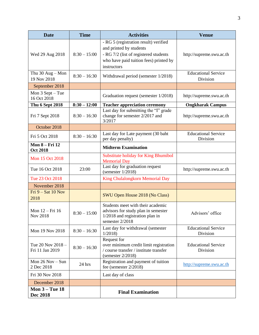| <b>Date</b>                              | <b>Time</b>    | <b>Activities</b>                                                                                                                                                  | <b>Venue</b>                           |
|------------------------------------------|----------------|--------------------------------------------------------------------------------------------------------------------------------------------------------------------|----------------------------------------|
| Wed 29 Aug 2018                          | $8:30 - 15:00$ | - RG 5 (registration result) verified<br>and printed by students<br>- RG 7/2 (list of registered students<br>who have paid tuition fees) printed by<br>instructors | http://supreme.swu.ac.th               |
| Thu $30$ Aug - Mon<br>19 Nov 2018        | $8:30 - 16:30$ | Withdrawal period (semester 1/2018)                                                                                                                                | <b>Educational Service</b><br>Division |
| September 2018                           |                |                                                                                                                                                                    |                                        |
| Mon $3$ Sept $-$ Tue<br>16 Oct 2018      |                | Graduation request (semester 1/2018)                                                                                                                               | http://supreme.swu.ac.th               |
| <b>Thu 6 Sept 2018</b>                   | $8:30 - 12:00$ | <b>Teacher appreciation ceremony</b>                                                                                                                               | <b>Ongkharak Campus</b>                |
| Fri 7 Sept 2018                          | $8:30 - 16:30$ | Last day for submitting the "I" grade<br>change for semester 2/2017 and<br>3/2017                                                                                  | http://supreme.swu.ac.th               |
| October 2018                             |                |                                                                                                                                                                    |                                        |
| Fri 5 Oct 2018                           | $8:30 - 16:30$ | Last day for Late payment (30 baht<br>per day penalty)                                                                                                             | <b>Educational Service</b><br>Division |
| <b>Mon 8 - Fri 12</b><br><b>Oct 2018</b> |                | <b>Midterm Examination</b>                                                                                                                                         |                                        |
| Mon 15 Oct 2018                          |                | <b>Substitute holiday for King Bhumibol</b><br><b>Memorial Day</b>                                                                                                 |                                        |
| Tue 16 Oct 2018                          | 23:00          | Last day for graduation request<br>(semester $1/2018$ )                                                                                                            | http://supreme.swu.ac.th               |
| Tue 23 Oct 2018                          |                | <b>King Chulalongkorn Memorial Day</b>                                                                                                                             |                                        |
| November 2018                            |                |                                                                                                                                                                    |                                        |
| Fri $9 - Sat 10$ Nov<br>2018             |                | SWU Open House 2018 (No Class)                                                                                                                                     |                                        |
| Mon 12 - Fri 16<br>Nov 2018              | $8:30 - 15:00$ | Students meet with their academic<br>advisors for study plan in semester<br>1/2018 and registration plan in<br>semester 2/2018                                     | Advisors' office                       |
| Mon 19 Nov 2018                          | $8:30 - 16:30$ | Last day for withdrawal (semester<br>1/2018                                                                                                                        | <b>Educational Service</b><br>Division |
| Tue 20 Nov 2018 -<br>Fri 11 Jan 2019     | $8:30 - 16:30$ | Request for<br>over minimum credit limit registration<br>/ course transfer / institute transfer<br>(semester $2/2018$ )                                            | <b>Educational Service</b><br>Division |
| Mon $26$ Nov $-$ Sun<br>2 Dec 2018       | 24 hrs         | Registration and payment of tuition<br>fee (semester $2/2018$ )                                                                                                    | http://supreme.swu.ac.th               |
| Fri 30 Nov 2018                          |                | Last day of class                                                                                                                                                  |                                        |
| December 2018                            |                |                                                                                                                                                                    |                                        |
| <b>Mon 3 – Tue 18</b><br><b>Dec 2018</b> |                | <b>Final Examination</b>                                                                                                                                           |                                        |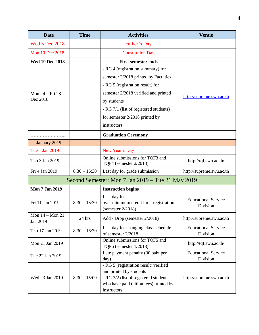| <b>Date</b>                     | <b>Time</b>    | <b>Activities</b>                                                                                                                                                                                              | <b>Venue</b>                           |
|---------------------------------|----------------|----------------------------------------------------------------------------------------------------------------------------------------------------------------------------------------------------------------|----------------------------------------|
| <b>Wed 5 Dec 2018</b>           |                | Father's Day                                                                                                                                                                                                   |                                        |
| Mon 10 Dec 2018                 |                | <b>Constitution Day</b>                                                                                                                                                                                        |                                        |
| <b>Wed 19 Dec 2018</b>          |                | <b>First semester ends</b>                                                                                                                                                                                     |                                        |
| Mon 24 – Fri 28<br>Dec 2018     |                | - RG 4 (registration summary) for<br>semester 2/2018 printed by Faculties<br>- RG 5 (registration result) for<br>semester 2/2018 verified and printed<br>by students<br>- RG 7/1 (list of registered students) | http://supreme.swu.ac.th               |
|                                 |                | for semester 2/2018 printed by<br>instructors                                                                                                                                                                  |                                        |
|                                 |                | <b>Graduation Ceremony</b>                                                                                                                                                                                     |                                        |
| January 2019                    |                |                                                                                                                                                                                                                |                                        |
| Tue 1 Jan 2019                  |                | New Year's Day                                                                                                                                                                                                 |                                        |
| Thu 3 Jan 2019                  |                | Online submissions for TQF3 and<br>TQF4 (semester 2/2018)                                                                                                                                                      | http://tqf.swu.ac.th/                  |
| Fri 4 Jan 2019                  | $8:30 - 16:30$ | Last day for grade submission                                                                                                                                                                                  | http://supreme.swu.ac.th               |
|                                 |                | Second Semester: Mon 7 Jan 2019 – Tue 21 May 2019                                                                                                                                                              |                                        |
| <b>Mon 7 Jan 2019</b>           |                | <b>Instruction begins</b>                                                                                                                                                                                      |                                        |
| Fri 11 Jan 2019                 | $8:30 - 16:30$ | Last day for<br>over minimum credit limit registration<br>(semester $2/2018$ )                                                                                                                                 | <b>Educational Service</b><br>Division |
| Mon $14 -$ Mon $21$<br>Jan 2019 | 24 hrs         | Add - Drop (semester 2/2018)                                                                                                                                                                                   | http://supreme.swu.ac.th               |
| Thu 17 Jan 2019                 | $8:30 - 16:30$ | Last day for changing class schedule<br>of semester 2/2018                                                                                                                                                     | <b>Educational Service</b><br>Division |
| Mon 21 Jan 2019                 |                | Online submissions for TQF5 and<br>TQF6 (semester 1/2018)                                                                                                                                                      | http://tqf.swu.ac.th/                  |
| Tue 22 Jan 2019                 |                | Late payment penalty (30 baht per<br>day)                                                                                                                                                                      | <b>Educational Service</b><br>Division |
| Wed 23 Jan 2019                 | $8:30 - 15:00$ | - RG 5 (registration result) verified<br>and printed by students<br>- RG 7/2 (list of registered students<br>who have paid tuition fees) printed by<br>instructors                                             | http://supreme.swu.ac.th               |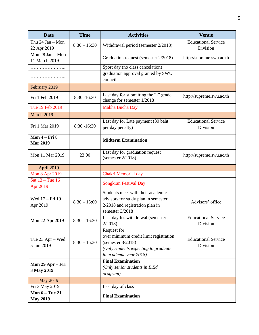| <b>Date</b>                              | <b>Time</b>    | <b>Activities</b>                                                                                                                               | <b>Venue</b>                           |
|------------------------------------------|----------------|-------------------------------------------------------------------------------------------------------------------------------------------------|----------------------------------------|
| Thu $24$ Jan - Mon<br>22 Apr 2019        | $8:30 - 16:30$ | Withdrawal period (semester 2/2018)                                                                                                             | <b>Educational Service</b><br>Division |
| Mon 28 Jan - Mon<br>11 March 2019        |                | Graduation request (semester 2/2018)                                                                                                            | http://supreme.swu.ac.th               |
| .                                        |                | Sport day (no class cancelation)                                                                                                                |                                        |
| .                                        |                | graduation approval granted by SWU<br>council                                                                                                   |                                        |
| February 2019                            |                |                                                                                                                                                 |                                        |
| Fri 1 Feb 2019                           | $8:30 - 16:30$ | Last day for submitting the "I" grade<br>change for semester 1/2018                                                                             | http://supreme.swu.ac.th               |
| Tue 19 Feb 2019                          |                | Makha Bucha Day                                                                                                                                 |                                        |
| <b>March 2019</b>                        |                |                                                                                                                                                 |                                        |
| Fri 1 Mar 2019                           | $8:30 - 16:30$ | Last day for Late payment (30 baht<br>per day penalty)                                                                                          | <b>Educational Service</b><br>Division |
| <b>Mon 4 – Fri 8</b><br><b>Mar 2019</b>  |                | <b>Midterm Examination</b>                                                                                                                      |                                        |
| Mon 11 Mar 2019                          | 23:00          | Last day for graduation request<br>(semester $2/2018$ )                                                                                         | http://supreme.swu.ac.th               |
| April 2019                               |                |                                                                                                                                                 |                                        |
| <b>Mon 8 Apr 2019</b>                    |                | Chakri Memorial day                                                                                                                             |                                        |
| Sat $13 -$ Tue 16<br>Apr 2019            |                | <b>Songkran Festival Day</b>                                                                                                                    |                                        |
| Wed 17 - Fri 19<br>Apr 2019              | $8:30 - 15:00$ | Students meet with their academic<br>advisors for study plan in semester<br>$2/2018$ and registration plan in<br>semester 3/2018                | Advisors' office                       |
| Mon 22 Apr 2019                          | $8:30 - 16:30$ | Last day for withdrawal (semester<br>2/2018                                                                                                     | <b>Educational Service</b><br>Division |
| Tue 23 Apr – Wed<br>5 Jun 2019           | $8:30 - 16:30$ | Request for<br>over minimum credit limit registration<br>(semester $3/2018$ )<br>(Only students expecting to graduate<br>in academic year 2018) | <b>Educational Service</b><br>Division |
| Mon 29 Apr – Fri<br>3 May 2019           |                | <b>Final Examination</b><br>(Only senior students in B.Ed.<br>program)                                                                          |                                        |
| <b>May 2019</b>                          |                |                                                                                                                                                 |                                        |
| Fri 3 May 2019                           |                | Last day of class                                                                                                                               |                                        |
| <b>Mon 6 - Tue 21</b><br><b>May 2019</b> |                | <b>Final Examination</b>                                                                                                                        |                                        |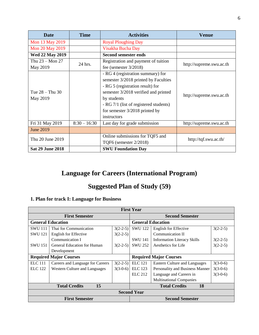| <b>Date</b>                     | <b>Time</b>    | <b>Activities</b>                                                                                                                                                                                                                                                 | Venue                    |
|---------------------------------|----------------|-------------------------------------------------------------------------------------------------------------------------------------------------------------------------------------------------------------------------------------------------------------------|--------------------------|
| Mon 13 May 2019                 |                | <b>Royal Ploughing Day</b>                                                                                                                                                                                                                                        |                          |
| <b>Mon 20 May 2019</b>          |                | Visakha Bucha Day                                                                                                                                                                                                                                                 |                          |
| <b>Wed 22 May 2019</b>          |                | <b>Second semester ends</b>                                                                                                                                                                                                                                       |                          |
| Thu $23 -$ Mon $27$<br>May 2019 | 24 hrs.        | Registration and payment of tuition<br>fee (semester $3/2018$ )                                                                                                                                                                                                   | http://supreme.swu.ac.th |
| Tue $28 -$ Thu 30<br>May 2019   |                | - RG 4 (registration summary) for<br>semester 3/2018 printed by Faculties<br>- RG 5 (registration result) for<br>semester 3/2018 verified and printed<br>by students<br>- RG 7/1 (list of registered students)<br>for semester $3/2018$ printed by<br>instructors | http://supreme.swu.ac.th |
| Fri 31 May 2019                 | $8:30 - 16:30$ | Last day for grade submission                                                                                                                                                                                                                                     | http://supreme.swu.ac.th |
| <b>June 2019</b>                |                |                                                                                                                                                                                                                                                                   |                          |
| Thu 20 June 2019                |                | Online submissions for TQF5 and<br><b>TQF6</b> (semester 2/2018)                                                                                                                                                                                                  | http://tqf.swu.ac.th/    |
| <b>Sat 29 June 2018</b>         |                | <b>SWU Foundation Day</b>                                                                                                                                                                                                                                         |                          |

# **Language for Careers (International Program)**

# **Suggested Plan of Study (59)**

# **1. Plan for track I: Language for Business**

| <b>First Year</b> |                                      |            |                               |                                    |            |  |
|-------------------|--------------------------------------|------------|-------------------------------|------------------------------------|------------|--|
|                   | <b>First Semester</b>                |            |                               | <b>Second Semester</b>             |            |  |
|                   | <b>General Education</b>             |            | <b>General Education</b>      |                                    |            |  |
| <b>SWU 111</b>    | Thai for Communication               | $3(2-2-5)$ | <b>SWU 122</b>                | <b>English for Effective</b>       | $3(2-2-5)$ |  |
| <b>SWU 121</b>    | English for Effective                | $3(2-2-5)$ |                               | Communication II                   |            |  |
|                   | Communication I                      |            | <b>SWU 141</b>                | <b>Information Literacy Skills</b> | $3(2-2-5)$ |  |
| <b>SWU 151</b>    | General Education for Human          | $3(2-2-5)$ | <b>SWU 252</b>                | Aesthetics for Life                | $3(2-2-5)$ |  |
|                   | Development                          |            |                               |                                    |            |  |
|                   | <b>Required Major Courses</b>        |            | <b>Required Major Courses</b> |                                    |            |  |
| <b>ELC</b> 111    | Careers and Language for Careers     | $3(2-2-5)$ | <b>ELC</b> 121                | Eastern Culture and Languages      | $3(3-0-6)$ |  |
| <b>ELC</b> 122    | <b>Western Culture and Languages</b> | $3(3-0-6)$ | <b>ELC</b> 123                | Personality and Business Manner    | $3(3-0-6)$ |  |
|                   |                                      |            | <b>ELC</b> 212                | Language and Careers in            | $3(3-0-6)$ |  |
|                   |                                      |            |                               | <b>Multinational Companies</b>     |            |  |
|                   | 15<br><b>Total Credits</b>           |            |                               | <b>Total Credits</b><br>18         |            |  |
|                   |                                      |            | <b>Second Year</b>            |                                    |            |  |
|                   | <b>First Semester</b>                |            |                               | <b>Second Semester</b>             |            |  |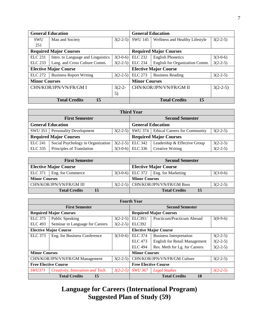| <b>General Education</b> |                                                                |            | <b>General Education</b> |                                |            |
|--------------------------|----------------------------------------------------------------|------------|--------------------------|--------------------------------|------------|
| <b>SWU</b>               | Man and Society                                                | $3(2-2-5)$ | <b>SWU 145</b>           | Wellness and Healthy Lifestyle | $3(2-2-5)$ |
| 251                      |                                                                |            |                          |                                |            |
|                          | <b>Required Major Courses</b><br><b>Required Major Courses</b> |            |                          |                                |            |
| <b>ELC</b> 231           | Intro. to Language and Linguistics                             | $3(3-0-6)$ | <b>ELC 232</b>           | <b>English Phonetics</b>       | $3(3-0-6)$ |
| ELC 233                  | Lang. and Cross Culture Comm.                                  | $3(2-2-5)$ | <b>ELC</b> 234           | English for Organization Comm. | $3(2-2-5)$ |
|                          | <b>Elective Major Course</b>                                   |            |                          | <b>Elective Major Course</b>   |            |
| <b>ELC</b> 272           | <b>Business Report Writing</b>                                 | $3(2-2-5)$ | <b>ELC</b> 273           | <b>Business Reading</b>        | $3(2-2-5)$ |
| <b>Minor Courses</b>     |                                                                |            | <b>Minor Courses</b>     |                                |            |
|                          | CHN/KOR/JPN/VN/FR/GM I                                         | $3(2-2-$   |                          | CHN/KOR/JPN/VN/FR/GM II        | $3(2-2-5)$ |
|                          |                                                                | 5)         |                          |                                |            |
|                          | 15<br><b>Total Credits</b>                                     |            |                          | 15<br><b>Total Credits</b>     |            |

| <b>Third Year</b>        |                                   |  |                               |                                                  |            |  |  |
|--------------------------|-----------------------------------|--|-------------------------------|--------------------------------------------------|------------|--|--|
| <b>First Semester</b>    |                                   |  |                               | <b>Second Semester</b>                           |            |  |  |
| <b>General Education</b> |                                   |  | <b>General Education</b>      |                                                  |            |  |  |
|                          | SWU 351   Personality Development |  |                               | $3(2-2-5)$ SWU 374 Ethical Careers for Community | $3(2-2-5)$ |  |  |
|                          | <b>Required Major Courses</b>     |  | <b>Required Major Courses</b> |                                                  |            |  |  |
| <b>ELC</b> 241           | Social Psychology in Organization |  | $3(2-2-5)$ ELC 342            | Leadership & Effective Group                     | $3(2-2-5)$ |  |  |
| <b>ELC 335</b>           | Principles of Translation         |  | $3(3-0-6)$ ELC 336            | <b>Creative Writing</b>                          | $3(2-2-5)$ |  |  |

| <b>First Semester</b> |                              |    |  |                      | <b>Second Semester</b>                  |    |            |
|-----------------------|------------------------------|----|--|----------------------|-----------------------------------------|----|------------|
|                       | <b>Elective Major Course</b> |    |  |                      | <b>Elective Major Course</b>            |    |            |
| ELC 371               | Eng. for Commerce            |    |  |                      | $3(3-0-6)$ ELC 372   Eng. for Marketing |    | $3(3-0-6)$ |
| <b>Minor Courses</b>  |                              |    |  | <b>Minor Courses</b> |                                         |    |            |
|                       | CHN/KOR/JPN/VN/FR/GM III     |    |  |                      | $3(2-2-5)$ CHN/KOR/JPN/VN/FR/GM Buss    |    | $3(2-2-5)$ |
|                       | <b>Total Credits</b>         | 15 |  |                      | <b>Total Credits</b>                    | 15 |            |

|                             | <b>Fourth Year</b>               |                             |                                            |                                      |            |  |  |  |
|-----------------------------|----------------------------------|-----------------------------|--------------------------------------------|--------------------------------------|------------|--|--|--|
|                             | <b>First Semester</b>            |                             |                                            | <b>Second Semester</b>               |            |  |  |  |
|                             | <b>Required Major Courses</b>    |                             |                                            | <b>Required Major Courses</b>        |            |  |  |  |
| <b>ELC</b> 375              | Public Speaking                  | $3(2-2-5)$                  | ELC391/                                    | Practicum/Practicum Abroad           | $3(0-9-6)$ |  |  |  |
| <b>ELC</b> 493              | Seminar in Language for Careers  | $3(2-2-5)$                  | <b>ELC392</b>                              |                                      |            |  |  |  |
|                             | <b>Elective Major Course</b>     |                             |                                            | <b>Elective Major Course</b>         |            |  |  |  |
| <b>ELC</b> 373              | Eng. for Business Conference     | $3(3-0-6)$                  | <b>ELC</b> 374                             | <b>Business Interpretation</b>       | $3(2-2-5)$ |  |  |  |
|                             |                                  |                             | <b>ELC</b> 473                             | <b>English for Retail Management</b> | $3(2-2-5)$ |  |  |  |
|                             |                                  |                             | <b>ELC</b> 494                             | Res. Meth for Lg. for Careers        | $3(2-2-5)$ |  |  |  |
| <b>Minor Courses</b>        |                                  |                             | <b>Minor Courses</b>                       |                                      |            |  |  |  |
|                             | CHN/KOR/JPN/VN/FR/GM Management  | $3(2-2-5)$                  | CHN/KOR/JPN/VN/FR/GM Culture<br>$3(2-2-5)$ |                                      |            |  |  |  |
| <b>Free Elective Course</b> |                                  | <b>Free Elective Course</b> |                                            |                                      |            |  |  |  |
| <i>SWU371</i>               | Creativity, Innovation and Tech. | $3(2-2-5)$                  | <b>SWU 367</b>                             | <b>Legal Studies</b>                 | $3(2-2-5)$ |  |  |  |
|                             | <b>Total Credits</b><br>15       |                             |                                            | <b>Total Credits</b><br><b>18</b>    |            |  |  |  |

# **Language for Careers (International Program) Suggested Plan of Study (59)**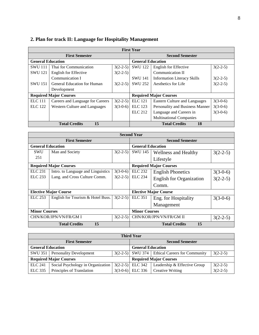|                          | <b>First Year</b>                  |            |                               |                                    |            |  |  |
|--------------------------|------------------------------------|------------|-------------------------------|------------------------------------|------------|--|--|
|                          | <b>First Semester</b>              |            |                               | <b>Second Semester</b>             |            |  |  |
| <b>General Education</b> |                                    |            | <b>General Education</b>      |                                    |            |  |  |
| <b>SWU111</b>            | Thai for Communication             | $3(2-2-5)$ | <b>SWU 122</b>                | English for Effective              | $3(2-2-5)$ |  |  |
| <b>SWU 121</b>           | English for Effective              | $3(2-2-5)$ |                               | Communication II                   |            |  |  |
|                          | Communication I                    |            | <b>SWU 141</b>                | <b>Information Literacy Skills</b> | $3(2-2-5)$ |  |  |
| <b>SWU 151</b>           | <b>General Education for Human</b> | $3(2-2-5)$ | <b>SWU 252</b>                | Aesthetics for Life                | $3(2-2-5)$ |  |  |
|                          | Development                        |            |                               |                                    |            |  |  |
|                          | <b>Required Major Courses</b>      |            | <b>Required Major Courses</b> |                                    |            |  |  |
| <b>ELC</b> 111           | Careers and Language for Careers   | $3(2-2-5)$ | <b>ELC</b> 121                | Eastern Culture and Languages      | $3(3-0-6)$ |  |  |
| <b>ELC</b> 122           | Western Culture and Languages      | $3(3-0-6)$ | <b>ELC</b> 123                | Personality and Business Manner    | $3(3-0-6)$ |  |  |
|                          |                                    |            | <b>ELC</b> 212                | Language and Careers in            | $3(3-0-6)$ |  |  |
|                          |                                    |            |                               | <b>Multinational Companies</b>     |            |  |  |
|                          | 15<br><b>Total Credits</b>         |            |                               | <b>Total Credits</b><br>18         |            |  |  |

# **2. Plan for track II: Language for Hospitality Management**

| <b>Second Year</b>       |                                    |            |                              |                                 |            |  |  |
|--------------------------|------------------------------------|------------|------------------------------|---------------------------------|------------|--|--|
|                          | <b>First Semester</b>              |            | <b>Second Semester</b>       |                                 |            |  |  |
| <b>General Education</b> |                                    |            | <b>General Education</b>     |                                 |            |  |  |
| <b>SWU</b>               | Man and Society                    | $3(2-2-5)$ | SWU 145                      | <b>Wellness and Healthy</b>     | $3(2-2-5)$ |  |  |
| 251                      |                                    |            |                              | Lifestyle                       |            |  |  |
|                          | <b>Required Major Courses</b>      |            |                              | <b>Required Major Courses</b>   |            |  |  |
| <b>ELC</b> 231           | Intro. to Language and Linguistics | $3(3-0-6)$ | <b>ELC 232</b>               | <b>English Phonetics</b>        | $3(3-0-6)$ |  |  |
| ELC 233                  | Lang. and Cross Culture Comm.      | $3(2-2-5)$ | <b>ELC 234</b>               | <b>English for Organization</b> | $3(2-2-5)$ |  |  |
|                          |                                    |            |                              | Comm.                           |            |  |  |
|                          | <b>Elective Major Course</b>       |            | <b>Elective Major Course</b> |                                 |            |  |  |
| ELC 253                  | English for Tourism & Hotel Buss.  | $3(2-2-5)$ | <b>ELC</b> 351               | Eng. for Hospitality            | $3(3-0-6)$ |  |  |
|                          |                                    |            |                              | Management                      |            |  |  |
| <b>Minor Courses</b>     |                                    |            | <b>Minor Courses</b>         |                                 |            |  |  |
|                          | CHN/KOR/JPN/VN/FR/GM I             | $3(2-2-5)$ |                              | CHN/KOR/JPN/VN/FR/GM II         | $3(2-2-5)$ |  |  |
|                          | 15<br><b>Total Credits</b>         |            |                              | 15<br><b>Total Credits</b>      |            |  |  |

| <b>Third Year</b>             |                                   |  |                          |                                                  |            |  |
|-------------------------------|-----------------------------------|--|--------------------------|--------------------------------------------------|------------|--|
| <b>First Semester</b>         |                                   |  | <b>Second Semester</b>   |                                                  |            |  |
| <b>General Education</b>      |                                   |  | <b>General Education</b> |                                                  |            |  |
|                               | SWU 351 Personality Development   |  |                          | 3(2-2-5) SWU 374   Ethical Careers for Community | $3(2-2-5)$ |  |
| <b>Required Major Courses</b> |                                   |  |                          | <b>Required Major Courses</b>                    |            |  |
| <b>ELC</b> 241                | Social Psychology in Organization |  | $3(2-2-5)$ ELC 342       | Leadership & Effective Group                     | $3(2-2-5)$ |  |
| <b>ELC 335</b>                | Principles of Translation         |  | $3(3-0-6)$ ELC 336       | <b>Creative Writing</b>                          | $3(2-2-5)$ |  |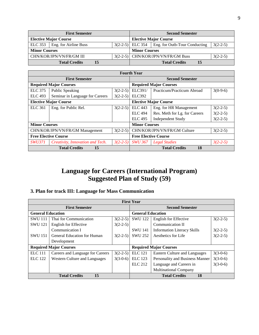| <b>First Semester</b>        |                       |  |                                      | <b>Second Semester</b>       |                                                    |            |
|------------------------------|-----------------------|--|--------------------------------------|------------------------------|----------------------------------------------------|------------|
| <b>Elective Major Course</b> |                       |  |                                      | <b>Elective Major Course</b> |                                                    |            |
| <b>ELC</b> 353               | Eng. for Airline Buss |  |                                      |                              | $3(2-2-5)$ ELC 354   Eng. for Outb-Tour Conducting | $3(2-2-5)$ |
| <b>Minor Courses</b>         |                       |  | <b>Minor Courses</b>                 |                              |                                                    |            |
| CHN/KOR/JPN/VN/FR/GM III     |                       |  | $3(2-2-5)$ CHN/KOR/JPN/VN/FR/GM Buss | $3(2-2-5)$                   |                                                    |            |
| <b>Total Credits</b><br>15   |                       |  |                                      | <b>Total Credits</b><br>15   |                                                    |            |

| <b>Fourth Year</b>              |                                  |                               |                             |                               |            |
|---------------------------------|----------------------------------|-------------------------------|-----------------------------|-------------------------------|------------|
| <b>First Semester</b>           |                                  |                               | <b>Second Semester</b>      |                               |            |
| <b>Required Major Courses</b>   |                                  | <b>Required Major Courses</b> |                             |                               |            |
| <b>ELC</b> 375                  | Public Speaking                  | $3(2-2-5)$                    | ELC391/                     | Practicum/Practicum Abroad    | $3(0-9-6)$ |
| <b>ELC 493</b>                  | Seminar in Language for Careers  | $3(2-2-5)$                    | <b>ELC392</b>               |                               |            |
| <b>Elective Major Course</b>    |                                  |                               |                             | <b>Elective Major Course</b>  |            |
| <b>ELC 361</b>                  | Eng. for Public Rel.             | $3(2-2-5)$                    | <b>ELC</b> 443              | Eng. for HR Management        | $3(2-2-5)$ |
|                                 |                                  |                               | <b>ELC</b> 494              | Res. Meth for Lg. for Careers | $3(2-2-5)$ |
|                                 |                                  |                               | <b>ELC</b> 495              | <b>Independent Study</b>      | $3(2-2-5)$ |
| <b>Minor Courses</b>            |                                  |                               | <b>Minor Courses</b>        |                               |            |
| CHN/KOR/JPN/VN/FR/GM Management |                                  | $3(2-2-5)$                    |                             | CHN/KOR/JPN/VN/FR/GM Culture  | $3(2-2-5)$ |
| <b>Free Elective Course</b>     |                                  |                               | <b>Free Elective Course</b> |                               |            |
| <i>SWU371</i>                   | Creativity, Innovation and Tech. | $3(2-2-5)$                    | <b>SWU 367</b>              | <b>Legal Studies</b>          | $3(2-2-5)$ |
|                                 | <b>Total Credits</b><br>15       |                               |                             | <b>Total Credits</b><br>18    |            |

# **Language for Careers (International Program) Suggested Plan of Study (59)**

# **3. Plan for track III: Language for Mass Communication**

| <b>First Year</b>             |                                  |            |                               |                                    |            |
|-------------------------------|----------------------------------|------------|-------------------------------|------------------------------------|------------|
| <b>First Semester</b>         |                                  |            | <b>Second Semester</b>        |                                    |            |
| <b>General Education</b>      |                                  |            | <b>General Education</b>      |                                    |            |
| <b>SWU 111</b>                | Thai for Communication           | $3(2-2-5)$ | <b>SWU 122</b>                | English for Effective              | $3(2-2-5)$ |
| <b>SWU 121</b>                | <b>English for Effective</b>     | $3(2-2-5)$ |                               | Communication II                   |            |
|                               | Communication I                  |            | <b>SWU 141</b>                | <b>Information Literacy Skills</b> | $3(2-2-5)$ |
| <b>SWU 151</b>                | General Education for Human      | $3(2-2-5)$ | <b>SWU 252</b>                | Aesthetics for Life                | $3(2-2-5)$ |
|                               | Development                      |            |                               |                                    |            |
| <b>Required Major Courses</b> |                                  |            | <b>Required Major Courses</b> |                                    |            |
| <b>ELC</b> 111                | Careers and Language for Careers | $3(2-2-5)$ | <b>ELC</b> 121                | Eastern Culture and Languages      | $3(3-0-6)$ |
| <b>ELC</b> 122                | Western Culture and Languages    | $3(3-0-6)$ | <b>ELC</b> 123                | Personality and Business Manner    | $3(3-0-6)$ |
|                               |                                  |            | <b>ELC</b> 212                | Language and Careers in            | $3(3-0-6)$ |
|                               |                                  |            |                               | <b>Multinational Company</b>       |            |
| 15<br><b>Total Credits</b>    |                                  |            |                               | <b>Total Credits</b><br>18         |            |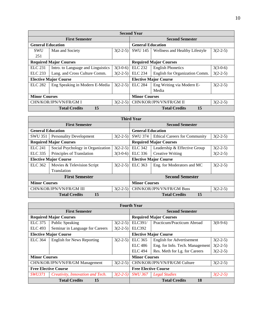| <b>Second Year</b>                   |                                    |            |                               |                                |            |
|--------------------------------------|------------------------------------|------------|-------------------------------|--------------------------------|------------|
| <b>First Semester</b>                |                                    |            | <b>Second Semester</b>        |                                |            |
| <b>General Education</b>             |                                    |            | <b>General Education</b>      |                                |            |
| <b>SWU</b>                           | Man and Society                    | $3(2-2-5)$ | <b>SWU 145</b>                | Wellness and Healthy Lifestyle | $3(2-2-5)$ |
| 251                                  |                                    |            |                               |                                |            |
| <b>Required Major Courses</b>        |                                    |            | <b>Required Major Courses</b> |                                |            |
| <b>ELC</b> 231                       | Intro. to Language and Linguistics | $3(3-0-6)$ | <b>ELC</b> 232                | <b>English Phonetics</b>       | $3(3-0-6)$ |
| ELC 233                              | Lang. and Cross Culture Comm.      | $3(2-2-5)$ | <b>ELC</b> 234                | English for Organization Comm. | $3(2-2-5)$ |
|                                      | <b>Elective Major Course</b>       |            | <b>Elective Major Course</b>  |                                |            |
| <b>ELC 282</b>                       | Eng Speaking in Modern E-Media     | $3(2-2-5)$ | <b>ELC 284</b>                | Eng Writing via Modern E-      | $3(2-2-5)$ |
|                                      |                                    |            |                               | Media                          |            |
| <b>Minor Courses</b>                 |                                    |            | <b>Minor Courses</b>          |                                |            |
| CHN/KOR/JPN/VN/FR/GM I<br>$3(2-2-5)$ |                                    |            |                               | CHN/KOR/JPN/VN/FR/GM II        | $3(2-2-5)$ |
| 15<br><b>Total Credits</b>           |                                    |            |                               | 15<br><b>Total Credits</b>     |            |

| <b>Third Year</b>                      |                                   |            |                              |                                      |            |
|----------------------------------------|-----------------------------------|------------|------------------------------|--------------------------------------|------------|
| <b>First Semester</b>                  |                                   |            | <b>Second Semester</b>       |                                      |            |
| <b>General Education</b>               |                                   |            | <b>General Education</b>     |                                      |            |
| SWU 351                                | <b>Personality Development</b>    | $3(2-2-5)$ | SWU 374                      | <b>Ethical Careers for Community</b> | $3(2-2-5)$ |
|                                        | <b>Required Major Courses</b>     |            |                              | <b>Required Major Courses</b>        |            |
| <b>ELC 241</b>                         | Social Psychology in Organization | $3(2-2-5)$ | <b>ELC</b> 342               | Leadership & Effective Group         | $3(2-2-5)$ |
| ELC 335                                | Principles of Translation         | $3(3-0-6)$ | ELC 336                      | <b>Creative Writing</b>              | $3(2-2-5)$ |
|                                        | <b>Elective Major Course</b>      |            | <b>Elective Major Course</b> |                                      |            |
| ELC 362                                | Movies & Television Script        | $3(2-2-5)$ | ELC 363                      | Eng. for Moderators and MC           | $3(2-2-5)$ |
|                                        | Translation                       |            |                              |                                      |            |
| <b>First Semester</b>                  |                                   |            |                              | <b>Second Semester</b>               |            |
| <b>Minor Courses</b>                   |                                   |            | <b>Minor Courses</b>         |                                      |            |
| CHN/KOR/JPN/VN/FR/GM III<br>$3(2-2-5)$ |                                   |            |                              | CHN/KOR/JPN/VN/FR/GM Buss            | $3(2-2-5)$ |
| 15<br><b>Total Credits</b>             |                                   |            |                              | 15<br><b>Total Credits</b>           |            |

| <b>Fourth Year</b>                            |                                   |            |                                            |                                  |            |
|-----------------------------------------------|-----------------------------------|------------|--------------------------------------------|----------------------------------|------------|
| <b>First Semester</b>                         |                                   |            | <b>Second Semester</b>                     |                                  |            |
| <b>Required Major Courses</b>                 |                                   |            | <b>Required Major Courses</b>              |                                  |            |
| <b>ELC</b> 375                                | Public Speaking                   | $3(2-2-5)$ | ELC391/                                    | Practicum/Practicum Abroad       | $3(0-9-6)$ |
| <b>ELC</b> 493                                | Seminar in Language for Careers   | $3(2-2-5)$ | <b>ELC392</b>                              |                                  |            |
| <b>Elective Major Course</b>                  |                                   |            | <b>Elective Major Course</b>               |                                  |            |
| <b>ELC</b> 364                                | <b>English for News Reporting</b> | $3(2-2-5)$ | ELC 365                                    | <b>English for Advertisement</b> | $3(2-2-5)$ |
|                                               |                                   |            | ELC 486                                    | Eng. for Info. Tech. Management  | $3(2-2-5)$ |
|                                               |                                   |            | <b>ELC</b> 494                             | Res. Meth for Lg. for Careers    | $3(2-2-5)$ |
|                                               | <b>Minor Courses</b>              |            |                                            | <b>Minor Courses</b>             |            |
| CHN/KOR/JPN/VN/FR/GM Management<br>$3(2-2-5)$ |                                   |            | CHN/KOR/JPN/VN/FR/GM Culture<br>$3(2-2-5)$ |                                  |            |
| <b>Free Elective Course</b>                   |                                   |            | <b>Free Elective Course</b>                |                                  |            |
| <i>SWU371</i>                                 | Creativity, Innovation and Tech.  | $3(2-2-5)$ | <b>SWU 367</b>                             | <b>Legal Studies</b>             | $3(2-2-5)$ |
| <b>Total Credits</b><br>15                    |                                   |            | <b>Total Credits</b><br>18                 |                                  |            |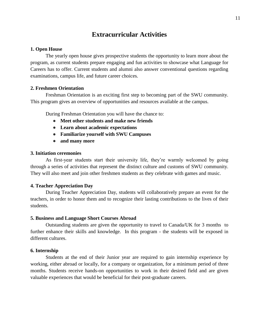# **Extracurricular Activities**

#### **1. Open House**

The yearly open house gives prospective students the opportunity to learn more about the program, as current students prepare engaging and fun activities to showcase what Language for Careers has to offer. Current students and alumni also answer conventional questions regarding examinations, campus life, and future career choices.

#### **2. Freshmen Orientation**

Freshman Orientation is an exciting first step to becoming part of the SWU community. This program gives an overview of opportunities and resources available at the campus.

During Freshman Orientation you will have the chance to:

- **Meet other students and make new friends**
- **Learn about academic expectations**
- **Familiarize yourself with SWU Campuses**
- **and many more**

# **3. Initiation ceremonies**

As first-year students start their university life, they're warmly welcomed by going through a series of activities that represent the distinct culture and customs of SWU community. They will also meet and join other freshmen students as they celebrate with games and music.

# **4. Teacher Appreciation Day**

During Teacher Appreciation Day, students will collaboratively prepare an event for the teachers, in order to honor them and to recognize their lasting contributions to the lives of their students.

#### **5. Business and Language Short Courses Abroad**

Outstanding students are given the opportunity to travel to Canada/UK for 3 months to further enhance their skills and knowledge. In this program - the students will be exposed in different cultures.

#### **6. Internship**

Students at the end of their Junior year are required to gain internship experience by working, either abroad or locally, for a company or organization, for a minimum period of three months. Students receive hands-on opportunities to work in their desired field and are given valuable experiences that would be beneficial for their post-graduate careers.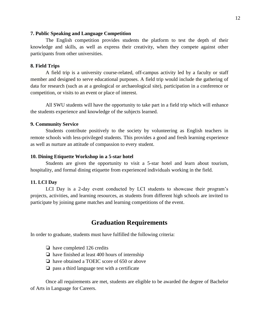#### **7. Public Speaking and Language Competition**

The English competition provides students the platform to test the depth of their knowledge and skills, as well as express their creativity, when they compete against other participants from other universities.

# **8. Field Trips**

A field trip is a university course-related, off-campus activity led by a faculty or staff member and designed to serve educational purposes. A field trip would include the gathering of data for research (such as at a geological or archaeological site), participation in a conference or competition, or visits to an event or place of interest.

All SWU students will have the opportunity to take part in a field trip which will enhance the students experience and knowledge of the subjects learned.

#### **9. Community Service**

Students contribute positively to the society by volunteering as English teachers in remote schools with less-privileged students. This provides a good and fresh learning experience as well as nurture an attitude of compassion to every student.

#### **10. Dining Etiquette Workshop in a 5-star hotel**

Students are given the opportunity to visit a 5-star hotel and learn about tourism, hospitality, and formal dining etiquette from experienced individuals working in the field.

#### **11. LCI Day**

LCI Day is a 2-day event conducted by LCI students to showcase their program's projects, activities, and learning resources, as students from different high schools are invited to participate by joining game matches and learning competitions of the event.

# **Graduation Requirements**

In order to graduate, students must have fulfilled the following criteria:

- ❏ have completed 126 credits
- ❏ have finished at least 400 hours of internship
- ❏ have obtained a TOEIC score of 650 or above
- ❏ pass a third language test with a certificate

Once all requirements are met, students are eligible to be awarded the degree of Bachelor of Arts in Language for Careers.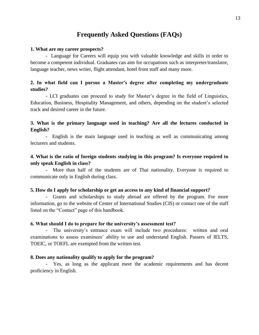# **Frequently Asked Questions (FAQs)**

#### **1. What are my career prospects?**

- Language for Careers will equip you with valuable knowledge and skills in order to become a competent individual. Graduates can aim for occupations such as interpreter/translator, language teacher, news writer, flight attendant, hotel front staff and many more.

# **2. In what field can I pursue a Master's degree after completing my undergraduate studies?**

- LCI graduates can proceed to study for Master's degree in the field of Linguistics, Education, Business, Hospitality Management, and others, depending on the student's selected track and desired career in the future.

# **3. What is the primary language used in teaching? Are all the lectures conducted in English?**

- English is the main language used in teaching as well as communicating among lecturers and students.

# **4. What is the ratio of foreign students studying in this program? Is everyone required to only speak English in class?**

- More than half of the students are of Thai nationality. Everyone is required to communicate only in English during class.

# **5. How do I apply for scholarship or get an access to any kind of financial support?**

- Grants and scholarships to study abroad are offered by the program. For more information, go to the website of Center of International Studies (CIS) or contact one of the staff listed on the "Contact" page of this handbook.

#### **6. What should I do to prepare for the university's assessment test?**

- The university's entrance exam will include two procedures: written and oral examinations to assess examinees' ability to use and understand English. Passers of IELTS, TOEIC, or TOEFL are exempted from the written test.

## **8. Does any nationality qualify to apply for the program?**

- Yes, as long as the applicant meet the academic requirements and has decent proficiency in English.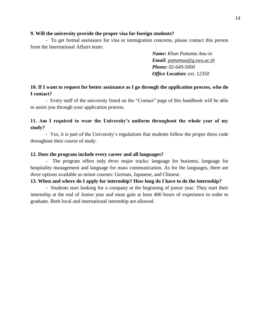# **9. Will the university provide the proper visa for foreign students?**

- To get formal assistance for visa or immigration concerns, please contact this person from the International Affairs team:

> *Name: Khun Pattama Anu-in Email: [pattamaa@g.swu.ac.th](mailto:pattamaa@g.swu.ac.th) Phone: 02-649-5000 Office Location: ext. 12350*

# **10. If I want to request for better assistance as I go through the application process, who do I contact?**

- Every staff of the university listed on the "Contact" page of this handbook will be able to assist you through your application process.

# **11. Am I required to wear the University's uniform throughout the whole year of my study?**

- Yes, it is part of the University's regulations that students follow the proper dress code throughout their course of study.

# **12. Does the program include every career and all languages?**

- The program offers only *three* major tracks: language for business, language for hospitality management and language for mass communication. As for the languages, there are *three* options available as minor courses: German, Japanese, and Chinese.

# **13. When and where do I apply for internship? How long do I have to do the internship?**

- Students start looking for a company at the beginning of junior year. They start their internship at the end of Junior year and must gain at least 400 hours of experience in order to graduate. Both local and international internship are allowed.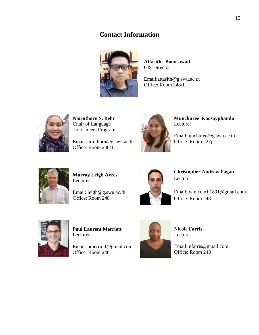# **Contact Information**



**Attasith Boonsawad** CIS Director

Email:attasith@g.swu.ac.th Office: Room 248/1



**Narinthorn S. Behr**  Chair of Language for Careers Program

Email: arinthorn@g.swu.ac.th Office: Room 248/1



**Munchuree Kaosayphandu** Lecturer

Email: unchuree@g.swu.ac.th Office: Room 227j



**Murray Leigh Ayres** Lecturer

Email: leigh@g.swu.ac.th Office: Room 248



**Christopher Andrew Fagan** Lecturer

Email: wimcoach1891@gmail.com Office: Room 248



**Paul Laurent Merriott**  Lecturer

Email: pmerriott@gmail.com Office: Room 248



**Nicole Farris** Lecturer

Email: nfarris@gmail.com Office: Room 248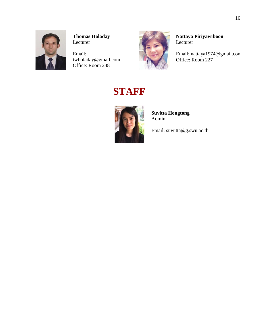

**Thomas Holaday** Lecturer

Email: twholaday@gmail.com Office: Room 248



**Nattaya Piriyawiboon Lecturer** 

Email: [nattaya1974@gmail.com](mailto:nattaya1974@gmail.com) Office: Room 227

# **STAFF**



**Suvitta Hongtong** Admin

Email: suwitta@g.swu.ac.th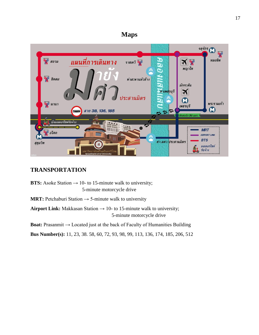# **Maps**



# **TRANSPORTATION**

**BTS:** Asoke Station  $\rightarrow$  10- to 15-minute walk to university; 5-minute motorcycle drive

**MRT:** Petchaburi Station  $\rightarrow$  5-minute walk to university

**Airport Link:** Makkasan Station  $\rightarrow$  10- to 15-minute walk to university; 5-minute motorcycle drive

**Boat:** Prasanmit → Located just at the back of Faculty of Humanities Building

**Bus Number(s):** 11, 23, 38. 58, 60, 72, 93, 98, 99, 113, 136, 174, 185, 206, 512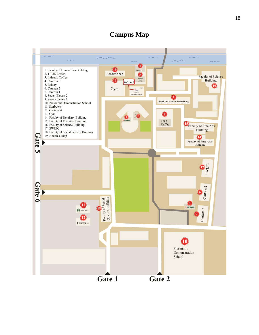# **Campus Map**

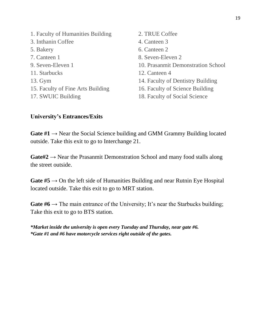| 1. Faculty of Humanities Building | 2. TRUE Coffee                     |
|-----------------------------------|------------------------------------|
| 3. Inthanin Coffee                | 4. Canteen 3                       |
| 5. Bakery                         | 6. Canteen 2                       |
| 7. Canteen 1                      | 8. Seven-Eleven 2                  |
| 9. Seven-Eleven 1                 | 10. Prasanmit Demonstration School |
| 11. Starbucks                     | 12. Canteen 4                      |
| 13. Gym                           | 14. Faculty of Dentistry Building  |
| 15. Faculty of Fine Arts Building | 16. Faculty of Science Building    |
| 17. SWUIC Building                | 18. Faculty of Social Science      |
|                                   |                                    |

# **University's Entrances/Exits**

**Gate**  $#1 \rightarrow$  Near the Social Science building and GMM Grammy Building located outside. Take this exit to go to Interchange 21.

**Gate#2** → Near the Prasanmit Demonstration School and many food stalls along the street outside.

**Gate**  $#5 \rightarrow$  On the left side of Humanities Building and near Rutnin Eye Hospital located outside. Take this exit to go to MRT station.

**Gate #6**  $\rightarrow$  The main entrance of the University; It's near the Starbucks building; Take this exit to go to BTS station.

*\*Market inside the university is open every Tuesday and Thursday, near gate #6. \*Gate #1 and #6 have motorcycle services right outside of the gates.*